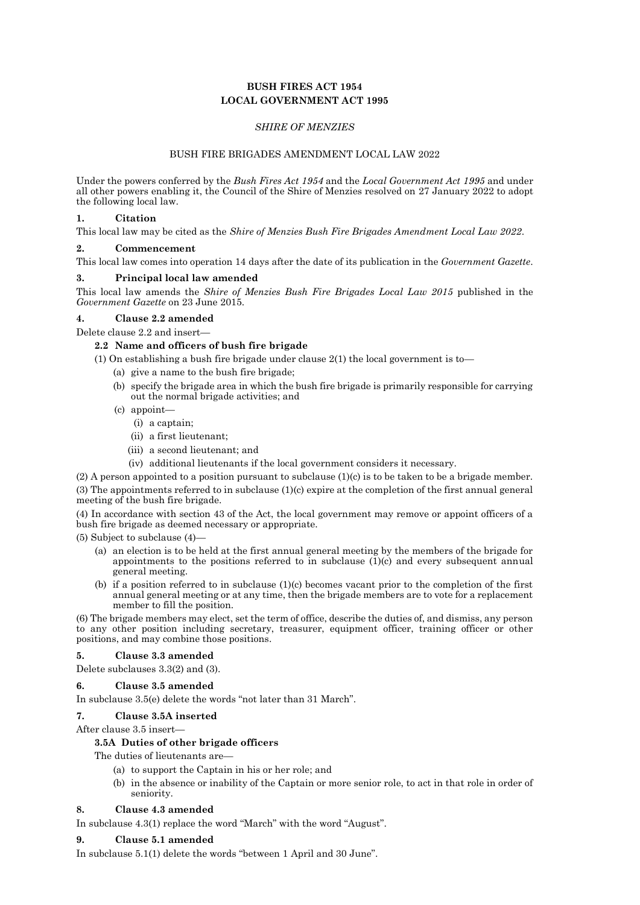# **BUSH FIRES ACT 1954 LOCAL GOVERNMENT ACT 1995**

## *SHIRE OF MENZIES*

### BUSH FIRE BRIGADES AMENDMENT LOCAL LAW 2022

Under the powers conferred by the *Bush Fires Act 1954* and the *Local Government Act 1995* and under all other powers enabling it, the Council of the Shire of Menzies resolved on 27 January 2022 to adopt the following local law.

#### **1. Citation**

This local law may be cited as the *Shire of Menzies Bush Fire Brigades Amendment Local Law 2022*.

### **2. Commencement**

This local law comes into operation 14 days after the date of its publication in the *Government Gazette*.

#### **3. Principal local law amended**

This local law amends the *Shire of Menzies Bush Fire Brigades Local Law 2015* published in the *Government Gazette* on 23 June 2015.

### **4. Clause 2.2 amended**

Delete clause 2.2 and insert—

### **2.2 Name and officers of bush fire brigade**

(1) On establishing a bush fire brigade under clause 2(1) the local government is to—

- (a) give a name to the bush fire brigade;
- (b) specify the brigade area in which the bush fire brigade is primarily responsible for carrying out the normal brigade activities; and
- (c) appoint—
	- (i) a captain;
	- (ii) a first lieutenant;
	- (iii) a second lieutenant; and
	- (iv) additional lieutenants if the local government considers it necessary.

(2) A person appointed to a position pursuant to subclause  $(1)(c)$  is to be taken to be a brigade member.  $(3)$  The appointments referred to in subclause  $(1)(c)$  expire at the completion of the first annual general meeting of the bush fire brigade.

(4) In accordance with section 43 of the Act, the local government may remove or appoint officers of a bush fire brigade as deemed necessary or appropriate.

(5) Subject to subclause (4)—

- (a) an election is to be held at the first annual general meeting by the members of the brigade for appointments to the positions referred to in subclause  $(1)(c)$  and every subsequent annual general meeting.
- (b) if a position referred to in subclause (1)(c) becomes vacant prior to the completion of the first annual general meeting or at any time, then the brigade members are to vote for a replacement member to fill the position.

(6) The brigade members may elect, set the term of office, describe the duties of, and dismiss, any person to any other position including secretary, treasurer, equipment officer, training officer or other positions, and may combine those positions.

#### **5. Clause 3.3 amended**

Delete subclauses 3.3(2) and (3).

## **6. Clause 3.5 amended**

In subclause 3.5(e) delete the words "not later than 31 March".

## **7. Clause 3.5A inserted**

After clause 3.5 insert—

#### **3.5A Duties of other brigade officers**

The duties of lieutenants are—

- (a) to support the Captain in his or her role; and
- (b) in the absence or inability of the Captain or more senior role, to act in that role in order of seniority.

## **8. Clause 4.3 amended**

In subclause 4.3(1) replace the word "March" with the word "August".

## **9. Clause 5.1 amended**

In subclause 5.1(1) delete the words "between 1 April and 30 June".